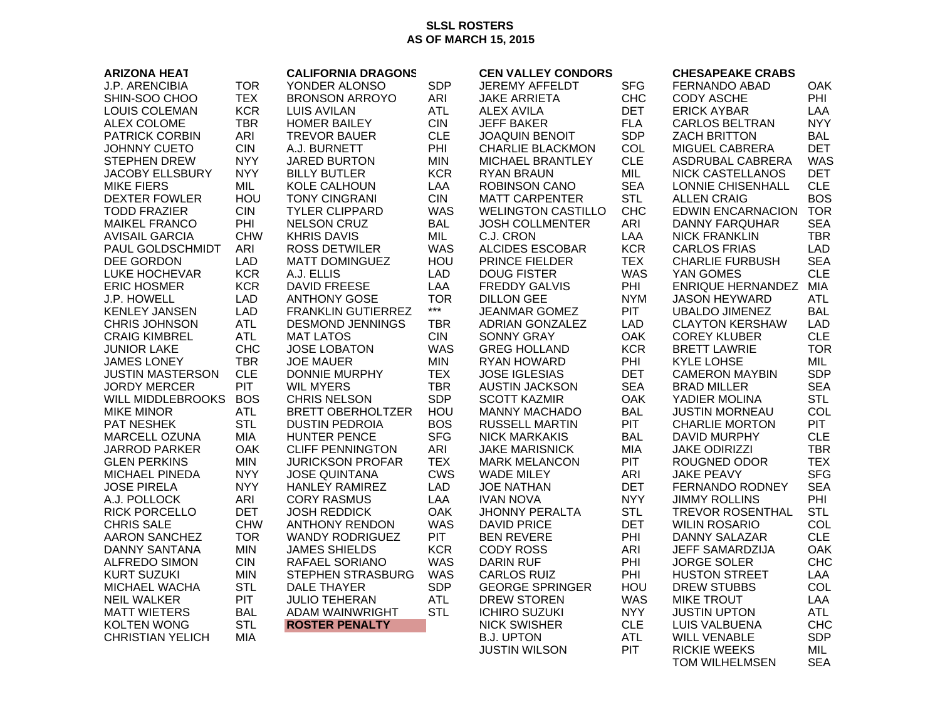## **SLSL ROSTERS AS OF MARCH 15, 2015**

| <b>ARIZONA HEAT</b>     |            | <b>CALIFORNIA DRAGONS</b> |                   | <b>CEN VALLEY CONDORS</b> |            | <b>CHESAPEAKE CRABS</b>  |            |
|-------------------------|------------|---------------------------|-------------------|---------------------------|------------|--------------------------|------------|
| <b>J.P. ARENCIBIA</b>   | <b>TOR</b> | YONDER ALONSO             | <b>SDP</b>        | <b>JEREMY AFFELDT</b>     | <b>SFG</b> | FERNANDO ABAD            | <b>OAK</b> |
| SHIN-SOO CHOO           | <b>TEX</b> | <b>BRONSON ARROYO</b>     | ARI               | <b>JAKE ARRIETA</b>       | <b>CHC</b> | <b>CODY ASCHE</b>        | PHI        |
| LOUIS COLEMAN           | <b>KCR</b> | <b>LUIS AVILAN</b>        | <b>ATL</b>        | <b>ALEX AVILA</b>         | <b>DET</b> | <b>ERICK AYBAR</b>       | LAA        |
| <b>ALEX COLOME</b>      | <b>TBR</b> | <b>HOMER BAILEY</b>       | <b>CIN</b>        | <b>JEFF BAKER</b>         | <b>FLA</b> | <b>CARLOS BELTRAN</b>    | <b>NYY</b> |
| <b>PATRICK CORBIN</b>   | ARI        | <b>TREVOR BAUER</b>       | <b>CLE</b>        | <b>JOAQUIN BENOIT</b>     | <b>SDP</b> | <b>ZACH BRITTON</b>      | <b>BAL</b> |
| <b>JOHNNY CUETO</b>     | <b>CIN</b> | A.J. BURNETT              | PHI               | <b>CHARLIE BLACKMON</b>   | COL        | <b>MIGUEL CABRERA</b>    | <b>DET</b> |
| <b>STEPHEN DREW</b>     | <b>NYY</b> | <b>JARED BURTON</b>       | <b>MIN</b>        | <b>MICHAEL BRANTLEY</b>   | <b>CLE</b> | ASDRUBAL CABRERA         | <b>WAS</b> |
| <b>JACOBY ELLSBURY</b>  | <b>NYY</b> | <b>BILLY BUTLER</b>       | <b>KCR</b>        | <b>RYAN BRAUN</b>         | MIL.       | NICK CASTELLANOS         | <b>DET</b> |
| <b>MIKE FIERS</b>       | <b>MIL</b> | KOLE CALHOUN              | LAA               | <b>ROBINSON CANO</b>      | <b>SEA</b> | LONNIE CHISENHALL        | <b>CLE</b> |
| <b>DEXTER FOWLER</b>    | HOU        | <b>TONY CINGRANI</b>      | <b>CIN</b>        | <b>MATT CARPENTER</b>     | <b>STL</b> | <b>ALLEN CRAIG</b>       | <b>BOS</b> |
| <b>TODD FRAZIER</b>     | <b>CIN</b> | <b>TYLER CLIPPARD</b>     | <b>WAS</b>        | <b>WELINGTON CASTILLO</b> | <b>CHC</b> | <b>EDWIN ENCARNACION</b> | <b>TOR</b> |
| <b>MAIKEL FRANCO</b>    | PHI        | <b>NELSON CRUZ</b>        | <b>BAL</b>        | <b>JOSH COLLMENTER</b>    | ARI        | DANNY FARQUHAR           | <b>SEA</b> |
| <b>AVISAIL GARCIA</b>   | <b>CHW</b> | <b>KHRIS DAVIS</b>        | MIL               | C.J. CRON                 | LAA        | <b>NICK FRANKLIN</b>     | <b>TBR</b> |
|                         |            |                           |                   |                           |            |                          |            |
| PAUL GOLDSCHMIDT        | ARI        | <b>ROSS DETWILER</b>      | WAS               | <b>ALCIDES ESCOBAR</b>    | <b>KCR</b> | <b>CARLOS FRIAS</b>      | <b>LAD</b> |
| DEE GORDON              | <b>LAD</b> | <b>MATT DOMINGUEZ</b>     | HOU               | PRINCE FIELDER            | <b>TEX</b> | <b>CHARLIE FURBUSH</b>   | <b>SEA</b> |
| LUKE HOCHEVAR           | <b>KCR</b> | A.J. ELLIS                | <b>LAD</b>        | <b>DOUG FISTER</b>        | <b>WAS</b> | YAN GOMES                | <b>CLE</b> |
| <b>ERIC HOSMER</b>      | <b>KCR</b> | <b>DAVID FREESE</b>       | LAA               | <b>FREDDY GALVIS</b>      | PHI        | <b>ENRIQUE HERNANDEZ</b> | MIA        |
| J.P. HOWELL             | <b>LAD</b> | <b>ANTHONY GOSE</b>       | <b>TOR</b>        | <b>DILLON GEE</b>         | <b>NYM</b> | <b>JASON HEYWARD</b>     | <b>ATL</b> |
| <b>KENLEY JANSEN</b>    | <b>LAD</b> | <b>FRANKLIN GUTIERREZ</b> | $\star\star\star$ | <b>JEANMAR GOMEZ</b>      | <b>PIT</b> | <b>UBALDO JIMENEZ</b>    | <b>BAL</b> |
| <b>CHRIS JOHNSON</b>    | <b>ATL</b> | <b>DESMOND JENNINGS</b>   | <b>TBR</b>        | ADRIAN GONZALEZ           | <b>LAD</b> | <b>CLAYTON KERSHAW</b>   | <b>LAD</b> |
| <b>CRAIG KIMBREL</b>    | <b>ATL</b> | <b>MAT LATOS</b>          | CIN.              | <b>SONNY GRAY</b>         | <b>OAK</b> | <b>COREY KLUBER</b>      | CLE.       |
| <b>JUNIOR LAKE</b>      | <b>CHC</b> | <b>JOSE LOBATON</b>       | <b>WAS</b>        | <b>GREG HOLLAND</b>       | <b>KCR</b> | <b>BRETT LAWRIE</b>      | <b>TOR</b> |
| <b>JAMES LONEY</b>      | <b>TBR</b> | <b>JOE MAUER</b>          | <b>MIN</b>        | <b>RYAN HOWARD</b>        | PHI        | <b>KYLE LOHSE</b>        | MIL        |
| <b>JUSTIN MASTERSON</b> | <b>CLE</b> | <b>DONNIE MURPHY</b>      | <b>TEX</b>        | <b>JOSE IGLESIAS</b>      | <b>DET</b> | <b>CAMERON MAYBIN</b>    | <b>SDP</b> |
| JORDY MERCER            | <b>PIT</b> | <b>WIL MYERS</b>          | <b>TBR</b>        | <b>AUSTIN JACKSON</b>     | <b>SEA</b> | <b>BRAD MILLER</b>       | <b>SEA</b> |
| WILL MIDDLEBROOKS       | <b>BOS</b> | <b>CHRIS NELSON</b>       | <b>SDP</b>        | <b>SCOTT KAZMIR</b>       | <b>OAK</b> | YADIER MOLINA            | <b>STL</b> |
| <b>MIKE MINOR</b>       | <b>ATL</b> | <b>BRETT OBERHOLTZER</b>  | HOU               | <b>MANNY MACHADO</b>      | <b>BAL</b> | <b>JUSTIN MORNEAU</b>    | COL        |
| PAT NESHEK              | <b>STL</b> | <b>DUSTIN PEDROIA</b>     | <b>BOS</b>        | <b>RUSSELL MARTIN</b>     | <b>PIT</b> | <b>CHARLIE MORTON</b>    | <b>PIT</b> |
| <b>MARCELL OZUNA</b>    | <b>MIA</b> | <b>HUNTER PENCE</b>       | <b>SFG</b>        | <b>NICK MARKAKIS</b>      | <b>BAL</b> | <b>DAVID MURPHY</b>      | <b>CLE</b> |
| <b>JARROD PARKER</b>    | OAK        | <b>CLIFF PENNINGTON</b>   | ARI               | <b>JAKE MARISNICK</b>     | <b>MIA</b> | <b>JAKE ODIRIZZI</b>     | <b>TBR</b> |
| <b>GLEN PERKINS</b>     | <b>MIN</b> | <b>JURICKSON PROFAR</b>   | <b>TEX</b>        | <b>MARK MELANCON</b>      | <b>PIT</b> | ROUGNED ODOR             | <b>TEX</b> |
| <b>MICHAEL PINEDA</b>   | <b>NYY</b> | <b>JOSE QUINTANA</b>      | <b>CWS</b>        | <b>WADE MILEY</b>         | <b>ARI</b> | <b>JAKE PEAVY</b>        | <b>SFG</b> |
| JOSE PIRELA             | <b>NYY</b> | <b>HANLEY RAMIREZ</b>     | <b>LAD</b>        | <b>JOE NATHAN</b>         | <b>DET</b> | FERNANDO RODNEY          | <b>SEA</b> |
| A.J. POLLOCK            | ARI        | <b>CORY RASMUS</b>        | LAA               | <b>IVAN NOVA</b>          | <b>NYY</b> | <b>JIMMY ROLLINS</b>     | PHI        |
| <b>RICK PORCELLO</b>    | <b>DET</b> | <b>JOSH REDDICK</b>       | <b>OAK</b>        | <b>JHONNY PERALTA</b>     | <b>STL</b> | <b>TREVOR ROSENTHAL</b>  | <b>STL</b> |
| <b>CHRIS SALE</b>       | <b>CHW</b> | <b>ANTHONY RENDON</b>     | <b>WAS</b>        | <b>DAVID PRICE</b>        | <b>DET</b> | <b>WILIN ROSARIO</b>     | COL        |
| <b>AARON SANCHEZ</b>    | <b>TOR</b> | <b>WANDY RODRIGUEZ</b>    | <b>PIT</b>        | <b>BEN REVERE</b>         | PHI        | <b>DANNY SALAZAR</b>     | <b>CLE</b> |
| <b>DANNY SANTANA</b>    | <b>MIN</b> | <b>JAMES SHIELDS</b>      | <b>KCR</b>        | CODY ROSS                 | ARI        | JEFF SAMARDZIJA          | <b>OAK</b> |
| <b>ALFREDO SIMON</b>    | <b>CIN</b> | RAFAEL SORIANO            | WAS               | <b>DARIN RUF</b>          | PHI        | <b>JORGE SOLER</b>       | <b>CHC</b> |
| <b>KURT SUZUKI</b>      | <b>MIN</b> | STEPHEN STRASBURG         | <b>WAS</b>        | <b>CARLOS RUIZ</b>        | PHI        | <b>HUSTON STREET</b>     | LAA        |
| MICHAEL WACHA           | <b>STL</b> | <b>DALE THAYER</b>        | <b>SDP</b>        | <b>GEORGE SPRINGER</b>    | HOU        | <b>DREW STUBBS</b>       | COL        |
| <b>NEIL WALKER</b>      | <b>PIT</b> | <b>JULIO TEHERAN</b>      | <b>ATL</b>        | <b>DREW STOREN</b>        | <b>WAS</b> | <b>MIKE TROUT</b>        | LAA        |
| <b>MATT WIETERS</b>     | <b>BAL</b> | ADAM WAINWRIGHT           | <b>STL</b>        | <b>ICHIRO SUZUKI</b>      | <b>NYY</b> | <b>JUSTIN UPTON</b>      | ATL.       |
| <b>KOLTEN WONG</b>      | <b>STL</b> | <b>ROSTER PENALTY</b>     |                   | <b>NICK SWISHER</b>       | <b>CLE</b> | LUIS VALBUENA            | <b>CHC</b> |
| <b>CHRISTIAN YELICH</b> | MIA        |                           |                   | <b>B.J. UPTON</b>         | <b>ATL</b> | <b>WILL VENABLE</b>      | <b>SDP</b> |
|                         |            |                           |                   | <b>JUSTIN WILSON</b>      | <b>PIT</b> | <b>RICKIE WEEKS</b>      | MIL        |
|                         |            |                           |                   |                           |            |                          | <b>SEA</b> |
|                         |            |                           |                   |                           |            | <b>TOM WILHELMSEN</b>    |            |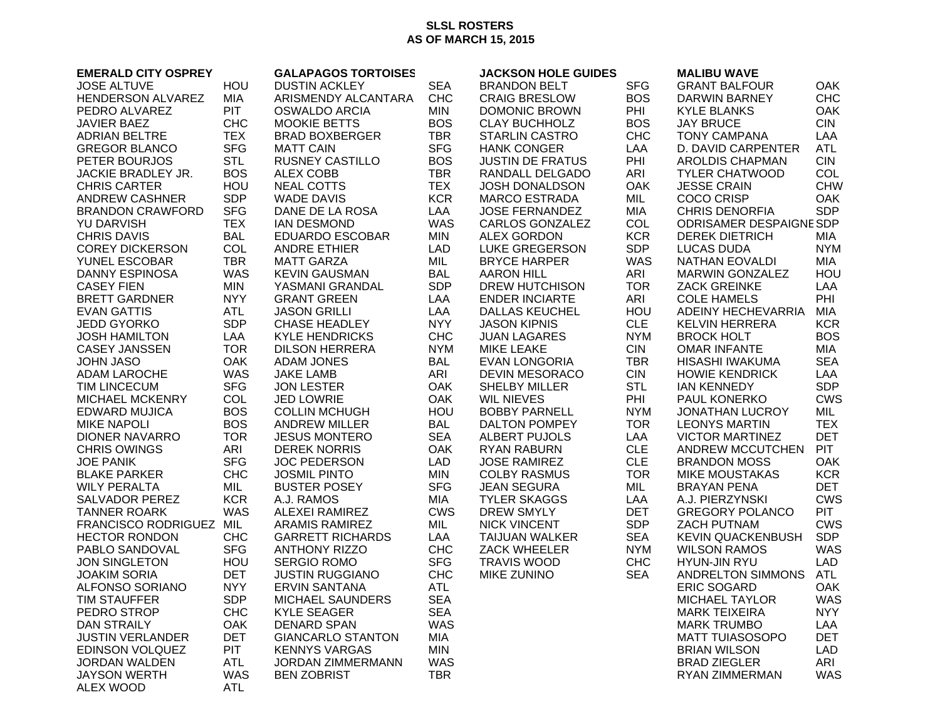## **SLSL ROSTERS AS OF MARCH 15, 2015**

| <b>EMERALD CITY OSPREY</b>               |                   | <b>GALAPAGOS TORTOISES</b> |                   | <b>JACKSON HOLE GUIDES</b> |            | <b>MALIBU WAVE</b>                                 |            |
|------------------------------------------|-------------------|----------------------------|-------------------|----------------------------|------------|----------------------------------------------------|------------|
| <b>JOSE ALTUVE</b>                       | <b>HOU</b>        | <b>DUSTIN ACKLEY</b>       | <b>SEA</b>        | <b>BRANDON BELT</b>        | <b>SFG</b> | <b>GRANT BALFOUR</b>                               | OAK        |
| HENDERSON ALVAREZ                        | MIA               | ARISMENDY ALCANTARA        | <b>CHC</b>        | <b>CRAIG BRESLOW</b>       | <b>BOS</b> | DARWIN BARNEY                                      | <b>CHC</b> |
| PEDRO ALVAREZ                            | <b>PIT</b>        | <b>OSWALDO ARCIA</b>       | MIN               | <b>DOMONIC BROWN</b>       | PHI        | <b>KYLE BLANKS</b>                                 | <b>OAK</b> |
| <b>JAVIER BAEZ</b>                       | <b>CHC</b>        | <b>MOOKIE BETTS</b>        | <b>BOS</b>        | <b>CLAY BUCHHOLZ</b>       | <b>BOS</b> | <b>JAY BRUCE</b>                                   | <b>CIN</b> |
| <b>ADRIAN BELTRE</b>                     | <b>TEX</b>        | <b>BRAD BOXBERGER</b>      | <b>TBR</b>        | <b>STARLIN CASTRO</b>      | <b>CHC</b> | <b>TONY CAMPANA</b>                                | LAA        |
| <b>GREGOR BLANCO</b>                     | <b>SFG</b>        | <b>MATT CAIN</b>           | <b>SFG</b>        | <b>HANK CONGER</b>         | LAA        | D. DAVID CARPENTER                                 | <b>ATL</b> |
| PETER BOURJOS                            | <b>STL</b>        | <b>RUSNEY CASTILLO</b>     | <b>BOS</b>        | <b>JUSTIN DE FRATUS</b>    | PHI        | <b>AROLDIS CHAPMAN</b>                             | <b>CIN</b> |
| JACKIE BRADLEY JR.                       | <b>BOS</b>        | <b>ALEX COBB</b>           | <b>TBR</b>        | RANDALL DELGADO            | ARI        | <b>TYLER CHATWOOD</b>                              | COL        |
| <b>CHRIS CARTER</b>                      | HOU               | <b>NEAL COTTS</b>          | <b>TEX</b>        | JOSH DONALDSON             | <b>OAK</b> | <b>JESSE CRAIN</b>                                 | <b>CHW</b> |
| <b>ANDREW CASHNER</b>                    | <b>SDP</b>        | <b>WADE DAVIS</b>          | <b>KCR</b>        | <b>MARCO ESTRADA</b>       | MIL        | <b>COCO CRISP</b>                                  | OAK        |
| <b>BRANDON CRAWFORD</b>                  | <b>SFG</b>        | DANE DE LA ROSA            | LAA               | <b>JOSE FERNANDEZ</b>      | <b>MIA</b> | <b>CHRIS DENORFIA</b>                              | <b>SDP</b> |
| <b>YU DARVISH</b>                        | <b>TEX</b>        | <b>IAN DESMOND</b>         | <b>WAS</b>        | CARLOS GONZALEZ            | COL        | ODRISAMER DESPAIGNESDP                             |            |
| <b>CHRIS DAVIS</b>                       | <b>BAL</b>        | <b>EDUARDO ESCOBAR</b>     | MIN               | <b>ALEX GORDON</b>         | <b>KCR</b> | <b>DEREK DIETRICH</b>                              | MIA        |
| <b>COREY DICKERSON</b>                   | COL               | <b>ANDRE ETHIER</b>        | LAD               | <b>LUKE GREGERSON</b>      | <b>SDP</b> | <b>LUCAS DUDA</b>                                  | <b>NYM</b> |
| YUNEL ESCOBAR                            | <b>TBR</b>        | <b>MATT GARZA</b>          | MIL               | <b>BRYCE HARPER</b>        | <b>WAS</b> | NATHAN EOVALDI                                     | MIA        |
| <b>DANNY ESPINOSA</b>                    | <b>WAS</b>        | <b>KEVIN GAUSMAN</b>       | <b>BAL</b>        | <b>AARON HILL</b>          | ARI        | <b>MARWIN GONZALEZ</b>                             | HOU        |
| <b>CASEY FIEN</b>                        | <b>MIN</b>        | YASMANI GRANDAL            | <b>SDP</b>        | <b>DREW HUTCHISON</b>      | <b>TOR</b> | <b>ZACK GREINKE</b>                                | LAA        |
| <b>BRETT GARDNER</b>                     | <b>NYY</b>        | <b>GRANT GREEN</b>         | LAA               | <b>ENDER INCIARTE</b>      | ARI        | <b>COLE HAMELS</b>                                 | PHI        |
|                                          |                   |                            |                   |                            | HOU        |                                                    | <b>MIA</b> |
| <b>EVAN GATTIS</b><br><b>JEDD GYORKO</b> | ATL<br><b>SDP</b> | <b>JASON GRILLI</b>        | LAA<br><b>NYY</b> | DALLAS KEUCHEL             | <b>CLE</b> | <b>ADEINY HECHEVARRIA</b><br><b>KELVIN HERRERA</b> | <b>KCR</b> |
|                                          | LAA               | <b>CHASE HEADLEY</b>       |                   | <b>JASON KIPNIS</b>        | <b>NYM</b> |                                                    | <b>BOS</b> |
| <b>JOSH HAMILTON</b>                     |                   | <b>KYLE HENDRICKS</b>      | <b>CHC</b>        | <b>JUAN LAGARES</b>        |            | <b>BROCK HOLT</b>                                  |            |
| <b>CASEY JANSSEN</b>                     | <b>TOR</b>        | <b>DILSON HERRERA</b>      | <b>NYM</b>        | <b>MIKE LEAKE</b>          | <b>CIN</b> | <b>OMAR INFANTE</b>                                | <b>MIA</b> |
| <b>JOHN JASO</b>                         | <b>OAK</b>        | ADAM JONES                 | <b>BAL</b>        | <b>EVAN LONGORIA</b>       | <b>TBR</b> | HISASHI IWAKUMA                                    | <b>SEA</b> |
| <b>ADAM LAROCHE</b>                      | <b>WAS</b>        | <b>JAKE LAMB</b>           | ARI               | <b>DEVIN MESORACO</b>      | <b>CIN</b> | <b>HOWIE KENDRICK</b>                              | LAA        |
| <b>TIM LINCECUM</b>                      | <b>SFG</b>        | <b>JON LESTER</b>          | <b>OAK</b>        | SHELBY MILLER              | <b>STL</b> | <b>IAN KENNEDY</b>                                 | <b>SDP</b> |
| <b>MICHAEL MCKENRY</b>                   | <b>COL</b>        | <b>JED LOWRIE</b>          | OAK               | <b>WIL NIEVES</b>          | PHI        | <b>PAUL KONERKO</b>                                | <b>CWS</b> |
| <b>EDWARD MUJICA</b>                     | <b>BOS</b>        | <b>COLLIN MCHUGH</b>       | HOU               | <b>BOBBY PARNELL</b>       | <b>NYM</b> | <b>JONATHAN LUCROY</b>                             | MIL        |
| <b>MIKE NAPOLI</b>                       | <b>BOS</b>        | <b>ANDREW MILLER</b>       | <b>BAL</b>        | DALTON POMPEY              | <b>TOR</b> | <b>LEONYS MARTIN</b>                               | <b>TEX</b> |
| DIONER NAVARRO                           | <b>TOR</b>        | <b>JESUS MONTERO</b>       | <b>SEA</b>        | ALBERT PUJOLS              | LAA        | <b>VICTOR MARTINEZ</b>                             | <b>DET</b> |
| <b>CHRIS OWINGS</b>                      | ARI               | <b>DEREK NORRIS</b>        | <b>OAK</b>        | RYAN RABURN                | <b>CLE</b> | ANDREW MCCUTCHEN                                   | <b>PIT</b> |
| <b>JOE PANIK</b>                         | <b>SFG</b>        | <b>JOC PEDERSON</b>        | LAD               | <b>JOSE RAMIREZ</b>        | <b>CLE</b> | <b>BRANDON MOSS</b>                                | OAK        |
| <b>BLAKE PARKER</b>                      | <b>CHC</b>        | <b>JOSMIL PINTO</b>        | <b>MIN</b>        | <b>COLBY RASMUS</b>        | <b>TOR</b> | <b>MIKE MOUSTAKAS</b>                              | <b>KCR</b> |
| <b>WILY PERALTA</b>                      | MIL               | <b>BUSTER POSEY</b>        | <b>SFG</b>        | <b>JEAN SEGURA</b>         | MIL        | <b>BRAYAN PENA</b>                                 | <b>DET</b> |
| <b>SALVADOR PEREZ</b>                    | <b>KCR</b>        | A.J. RAMOS                 | MIA               | <b>TYLER SKAGGS</b>        | LAA        | A.J. PIERZYNSKI                                    | <b>CWS</b> |
| <b>TANNER ROARK</b>                      | <b>WAS</b>        | <b>ALEXEI RAMIREZ</b>      | <b>CWS</b>        | <b>DREW SMYLY</b>          | <b>DET</b> | <b>GREGORY POLANCO</b>                             | <b>PIT</b> |
| FRANCISCO RODRIGUEZ MIL                  |                   | <b>ARAMIS RAMIREZ</b>      | MIL               | <b>NICK VINCENT</b>        | <b>SDP</b> | ZACH PUTNAM                                        | <b>CWS</b> |
| <b>HECTOR RONDON</b>                     | <b>CHC</b>        | <b>GARRETT RICHARDS</b>    | LAA               | <b>TAIJUAN WALKER</b>      | <b>SEA</b> | <b>KEVIN QUACKENBUSH</b>                           | <b>SDP</b> |
| PABLO SANDOVAL                           | <b>SFG</b>        | <b>ANTHONY RIZZO</b>       | <b>CHC</b>        | <b>ZACK WHEELER</b>        | <b>NYM</b> | <b>WILSON RAMOS</b>                                | <b>WAS</b> |
| <b>JON SINGLETON</b>                     | HOU               | <b>SERGIO ROMO</b>         | <b>SFG</b>        | <b>TRAVIS WOOD</b>         | <b>CHC</b> | <b>HYUN-JIN RYU</b>                                | <b>LAD</b> |
| <b>JOAKIM SORIA</b>                      | <b>DET</b>        | <b>JUSTIN RUGGIANO</b>     | <b>CHC</b>        | <b>MIKE ZUNINO</b>         | <b>SEA</b> | <b>ANDRELTON SIMMONS</b>                           | <b>ATL</b> |
| <b>ALFONSO SORIANO</b>                   | <b>NYY</b>        | <b>ERVIN SANTANA</b>       | <b>ATL</b>        |                            |            | <b>ERIC SOGARD</b>                                 | OAK        |
| <b>TIM STAUFFER</b>                      | <b>SDP</b>        | MICHAEL SAUNDERS           | <b>SEA</b>        |                            |            | MICHAEL TAYLOR                                     | WAS        |
| PEDRO STROP                              | <b>CHC</b>        | <b>KYLE SEAGER</b>         | <b>SEA</b>        |                            |            | <b>MARK TEIXEIRA</b>                               | <b>NYY</b> |
| <b>DAN STRAILY</b>                       | <b>OAK</b>        | <b>DENARD SPAN</b>         | <b>WAS</b>        |                            |            | <b>MARK TRUMBO</b>                                 | LAA        |
| <b>JUSTIN VERLANDER</b>                  | <b>DET</b>        | <b>GIANCARLO STANTON</b>   | <b>MIA</b>        |                            |            | <b>MATT TUIASOSOPO</b>                             | <b>DET</b> |
| <b>EDINSON VOLQUEZ</b>                   | <b>PIT</b>        | <b>KENNYS VARGAS</b>       | MIN               |                            |            | <b>BRIAN WILSON</b>                                | <b>LAD</b> |
| <b>JORDAN WALDEN</b>                     | ATL               | <b>JORDAN ZIMMERMANN</b>   | <b>WAS</b>        |                            |            | <b>BRAD ZIEGLER</b>                                | ARI        |
| <b>JAYSON WERTH</b>                      | WAS               | <b>BEN ZOBRIST</b>         | TBR               |                            |            | <b>RYAN ZIMMERMAN</b>                              | WAS        |
| <b>ALEX WOOD</b>                         | ATL               |                            |                   |                            |            |                                                    |            |